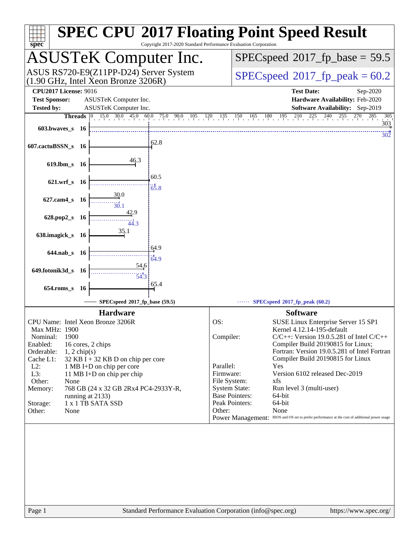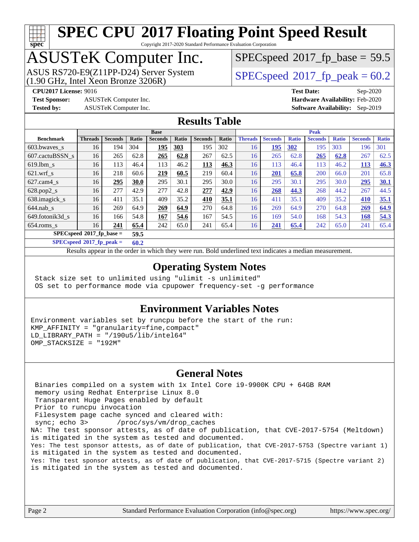

Copyright 2017-2020 Standard Performance Evaluation Corporation

## ASUSTeK Computer Inc.

 $(1.90 \text{ GHz}, \text{Intel } \hat{X}$ con Bronze 3206R) ASUS RS720-E9(Z11PP-D24) Server System  $SPECspeed@2017$  $SPECspeed@2017$  fp\_peak = 60.2

 $SPECspeed*2017_fp\_base = 59.5$  $SPECspeed*2017_fp\_base = 59.5$ 

**[Test Sponsor:](http://www.spec.org/auto/cpu2017/Docs/result-fields.html#TestSponsor)** ASUSTeK Computer Inc. **[Hardware Availability:](http://www.spec.org/auto/cpu2017/Docs/result-fields.html#HardwareAvailability)** Feb-2020

**[CPU2017 License:](http://www.spec.org/auto/cpu2017/Docs/result-fields.html#CPU2017License)** 9016 **[Test Date:](http://www.spec.org/auto/cpu2017/Docs/result-fields.html#TestDate)** Sep-2020 **[Tested by:](http://www.spec.org/auto/cpu2017/Docs/result-fields.html#Testedby)** ASUSTeK Computer Inc. **[Software Availability:](http://www.spec.org/auto/cpu2017/Docs/result-fields.html#SoftwareAvailability)** Sep-2019

### **[Results Table](http://www.spec.org/auto/cpu2017/Docs/result-fields.html#ResultsTable)**

|                            | <b>Base</b>    |                |       | <b>Peak</b>    |       |                |       |                |                |              |                |              |                |              |
|----------------------------|----------------|----------------|-------|----------------|-------|----------------|-------|----------------|----------------|--------------|----------------|--------------|----------------|--------------|
| <b>Benchmark</b>           | <b>Threads</b> | <b>Seconds</b> | Ratio | <b>Seconds</b> | Ratio | <b>Seconds</b> | Ratio | <b>Threads</b> | <b>Seconds</b> | <b>Ratio</b> | <b>Seconds</b> | <b>Ratio</b> | <b>Seconds</b> | <b>Ratio</b> |
| 603.bwaves_s               | 16             | 194            | 304   | 195            | 303   | 195            | 302   | 16             | 195            | 302          | 195            | 303          | 196            | 301          |
| 607.cactuBSSN s            | 16             | 265            | 62.8  | 265            | 62.8  | 267            | 62.5  | 16             | 265            | 62.8         | 265            | 62.8         | 267            | 62.5         |
| $619.$ lbm s               | 16             | 113            | 46.4  | 113            | 46.2  | 113            | 46.3  | 16             | 113            | 46.4         | 113            | 46.2         | 113            | 46.3         |
| $621.wrf$ s                | 16             | 218            | 60.6  | 219            | 60.5  | 219            | 60.4  | 16             | 201            | 65.8         | 200            | 66.0         | 201            | 65.8         |
| $627$ .cam $4$ s           | 16             | 295            | 30.0  | 295            | 30.1  | 295            | 30.0  | 16             | 295            | 30.1         | 295            | 30.0         | 295            | 30.1         |
| $628.pop2_s$               | 16             | 277            | 42.9  | 277            | 42.8  | 277            | 42.9  | 16             | 268            | 44.3         | 268            | 44.2         | 267            | 44.5         |
| 638.imagick_s              | 16             | 411            | 35.1  | 409            | 35.2  | 410            | 35.1  | 16             | 411            | 35.1         | 409            | 35.2         | 410            | 35.1         |
| $644$ .nab s               | 16             | 269            | 64.9  | 269            | 64.9  | 270            | 64.8  | 16             | 269            | 64.9         | 270            | 64.8         | 269            | 64.9         |
| 649.fotonik3d s            | 16             | 166            | 54.8  | 167            | 54.6  | 167            | 54.5  | 16             | 169            | 54.0         | 168            | 54.3         | 168            | 54.3         |
| $654$ .roms s              | 16             | 241            | 65.4  | 242            | 65.0  | 241            | 65.4  | 16             | 241            | 65.4         | 242            | 65.0         | 241            | 65.4         |
| $SPECspeed*2017$ fp base = |                |                | 59.5  |                |       |                |       |                |                |              |                |              |                |              |

**[SPECspeed](http://www.spec.org/auto/cpu2017/Docs/result-fields.html#SPECspeed2017fppeak)[2017\\_fp\\_peak =](http://www.spec.org/auto/cpu2017/Docs/result-fields.html#SPECspeed2017fppeak) 60.2**

Results appear in the [order in which they were run.](http://www.spec.org/auto/cpu2017/Docs/result-fields.html#RunOrder) Bold underlined text [indicates a median measurement](http://www.spec.org/auto/cpu2017/Docs/result-fields.html#Median).

### **[Operating System Notes](http://www.spec.org/auto/cpu2017/Docs/result-fields.html#OperatingSystemNotes)**

 Stack size set to unlimited using "ulimit -s unlimited" OS set to performance mode via cpupower frequency-set -g performance

#### **[Environment Variables Notes](http://www.spec.org/auto/cpu2017/Docs/result-fields.html#EnvironmentVariablesNotes)**

Environment variables set by runcpu before the start of the run: KMP\_AFFINITY = "granularity=fine,compact" LD LIBRARY PATH =  $\sqrt{190u5/lib/intel64}$ " OMP\_STACKSIZE = "192M"

### **[General Notes](http://www.spec.org/auto/cpu2017/Docs/result-fields.html#GeneralNotes)**

 Binaries compiled on a system with 1x Intel Core i9-9900K CPU + 64GB RAM memory using Redhat Enterprise Linux 8.0 Transparent Huge Pages enabled by default Prior to runcpu invocation Filesystem page cache synced and cleared with: sync; echo 3> /proc/sys/vm/drop\_caches NA: The test sponsor attests, as of date of publication, that CVE-2017-5754 (Meltdown) is mitigated in the system as tested and documented. Yes: The test sponsor attests, as of date of publication, that CVE-2017-5753 (Spectre variant 1) is mitigated in the system as tested and documented. Yes: The test sponsor attests, as of date of publication, that CVE-2017-5715 (Spectre variant 2) is mitigated in the system as tested and documented.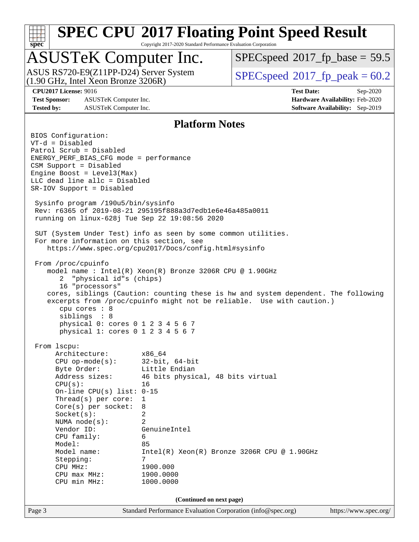

Copyright 2017-2020 Standard Performance Evaluation Corporation

### ASUSTeK Computer Inc.

(1.90 GHz, Intel Xeon Bronze 3206R) ASUS RS720-E9(Z11PP-D24) Server System  $SPECspeed@2017$  $SPECspeed@2017$  fp\_peak = 60.2

 $SPECspeed*2017_fp\_base = 59.5$  $SPECspeed*2017_fp\_base = 59.5$ 

**[Test Sponsor:](http://www.spec.org/auto/cpu2017/Docs/result-fields.html#TestSponsor)** ASUSTeK Computer Inc. **[Hardware Availability:](http://www.spec.org/auto/cpu2017/Docs/result-fields.html#HardwareAvailability)** Feb-2020 **[Tested by:](http://www.spec.org/auto/cpu2017/Docs/result-fields.html#Testedby)** ASUSTeK Computer Inc. **[Software Availability:](http://www.spec.org/auto/cpu2017/Docs/result-fields.html#SoftwareAvailability)** Sep-2019

**[CPU2017 License:](http://www.spec.org/auto/cpu2017/Docs/result-fields.html#CPU2017License)** 9016 **[Test Date:](http://www.spec.org/auto/cpu2017/Docs/result-fields.html#TestDate)** Sep-2020

### **[Platform Notes](http://www.spec.org/auto/cpu2017/Docs/result-fields.html#PlatformNotes)**

Page 3 Standard Performance Evaluation Corporation [\(info@spec.org\)](mailto:info@spec.org) <https://www.spec.org/> BIOS Configuration: VT-d = Disabled Patrol Scrub = Disabled ENERGY\_PERF\_BIAS\_CFG mode = performance CSM Support = Disabled Engine Boost = Level3(Max) LLC dead line allc = Disabled SR-IOV Support = Disabled Sysinfo program /190u5/bin/sysinfo Rev: r6365 of 2019-08-21 295195f888a3d7edb1e6e46a485a0011 running on linux-628j Tue Sep 22 19:08:56 2020 SUT (System Under Test) info as seen by some common utilities. For more information on this section, see <https://www.spec.org/cpu2017/Docs/config.html#sysinfo> From /proc/cpuinfo model name : Intel(R) Xeon(R) Bronze 3206R CPU @ 1.90GHz 2 "physical id"s (chips) 16 "processors" cores, siblings (Caution: counting these is hw and system dependent. The following excerpts from /proc/cpuinfo might not be reliable. Use with caution.) cpu cores : 8 siblings : 8 physical 0: cores 0 1 2 3 4 5 6 7 physical 1: cores 0 1 2 3 4 5 6 7 From lscpu: Architecture: x86\_64 CPU op-mode(s): 32-bit, 64-bit Byte Order: Little Endian Address sizes: 46 bits physical, 48 bits virtual  $CPU(s):$  16 On-line CPU(s) list: 0-15 Thread(s) per core: 1 Core(s) per socket: 8 Socket(s): 2 NUMA node(s): 2 Vendor ID: GenuineIntel CPU family: 6 Model: 85 Model name: Intel(R) Xeon(R) Bronze 3206R CPU @ 1.90GHz Stepping: 7 CPU MHz: 1900.000 CPU max MHz: 1900.0000 CPU min MHz: 1000.0000 **(Continued on next page)**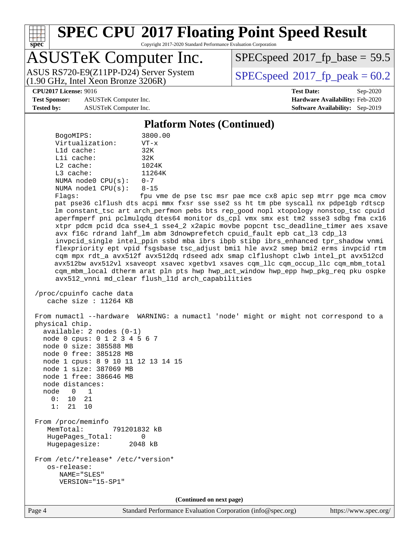

Copyright 2017-2020 Standard Performance Evaluation Corporation

### ASUSTeK Computer Inc.

(1.90 GHz, Intel Xeon Bronze 3206R) ASUS RS720-E9(Z11PP-D24) Server System  $\boxed{\text{SPEC speed}^{\circ}2017\text{ fp peak}=60.2}$ 

 $SPECspeed^{\circledcirc}2017\_fp\_base = 59.5$  $SPECspeed^{\circledcirc}2017\_fp\_base = 59.5$ 

**[Test Sponsor:](http://www.spec.org/auto/cpu2017/Docs/result-fields.html#TestSponsor)** ASUSTeK Computer Inc. **[Hardware Availability:](http://www.spec.org/auto/cpu2017/Docs/result-fields.html#HardwareAvailability)** Feb-2020 **[Tested by:](http://www.spec.org/auto/cpu2017/Docs/result-fields.html#Testedby)** ASUSTeK Computer Inc. **[Software Availability:](http://www.spec.org/auto/cpu2017/Docs/result-fields.html#SoftwareAvailability)** Sep-2019

**[CPU2017 License:](http://www.spec.org/auto/cpu2017/Docs/result-fields.html#CPU2017License)** 9016 **[Test Date:](http://www.spec.org/auto/cpu2017/Docs/result-fields.html#TestDate)** Sep-2020

#### **[Platform Notes \(Continued\)](http://www.spec.org/auto/cpu2017/Docs/result-fields.html#PlatformNotes)**

| BogoMIPS:               | 3800.00  |
|-------------------------|----------|
| Virtualization:         | $VT - x$ |
| $L1d$ cache:            | 32K      |
| Lli cache:              | 32K      |
| $L2$ cache:             | 1024K    |
| $L3$ cache:             | 11264K   |
| NUMA $node0$ $CPU(s)$ : | $0 - 7$  |
| NUMA $node1$ $CPU(s)$ : | $8 - 15$ |
|                         | $\sim$   |

Flags: fpu vme de pse tsc msr pae mce cx8 apic sep mtrr pge mca cmov pat pse36 clflush dts acpi mmx fxsr sse sse2 ss ht tm pbe syscall nx pdpe1gb rdtscp lm constant\_tsc art arch\_perfmon pebs bts rep\_good nopl xtopology nonstop\_tsc cpuid aperfmperf pni pclmulqdq dtes64 monitor ds\_cpl vmx smx est tm2 ssse3 sdbg fma cx16 xtpr pdcm pcid dca sse4\_1 sse4\_2 x2apic movbe popcnt tsc\_deadline\_timer aes xsave avx f16c rdrand lahf\_lm abm 3dnowprefetch cpuid\_fault epb cat\_l3 cdp\_l3 invpcid\_single intel\_ppin ssbd mba ibrs ibpb stibp ibrs\_enhanced tpr\_shadow vnmi flexpriority ept vpid fsgsbase tsc\_adjust bmi1 hle avx2 smep bmi2 erms invpcid rtm cqm mpx rdt\_a avx512f avx512dq rdseed adx smap clflushopt clwb intel\_pt avx512cd avx512bw avx512vl xsaveopt xsavec xgetbv1 xsaves cqm\_llc cqm\_occup\_llc cqm\_mbm\_total cqm\_mbm\_local dtherm arat pln pts hwp hwp\_act\_window hwp\_epp hwp\_pkg\_req pku ospke avx512\_vnni md\_clear flush\_l1d arch\_capabilities

 /proc/cpuinfo cache data cache size : 11264 KB

 From numactl --hardware WARNING: a numactl 'node' might or might not correspond to a physical chip. available: 2 nodes (0-1) node 0 cpus: 0 1 2 3 4 5 6 7 node 0 size: 385588 MB node 0 free: 385128 MB node 1 cpus: 8 9 10 11 12 13 14 15 node 1 size: 387069 MB node 1 free: 386646 MB node distances: node 0 1 0: 10 21 1: 21 10 From /proc/meminfo MemTotal: 791201832 kB HugePages\_Total: 0 Hugepagesize: 2048 kB From /etc/\*release\* /etc/\*version\* os-release: NAME="SLES" VERSION="15-SP1" **(Continued on next page)**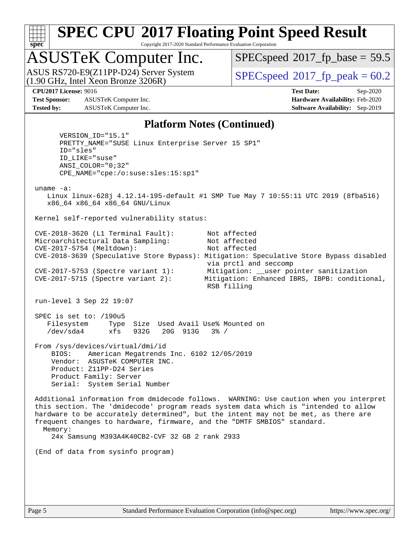

Copyright 2017-2020 Standard Performance Evaluation Corporation

## ASUSTeK Computer Inc.

(1.90 GHz, Intel Xeon Bronze 3206R) ASUS RS720-E9(Z11PP-D24) Server System  $SPECspeed@2017$  $SPECspeed@2017$  fp\_peak = 60.2

 $SPECspeed*2017_fp\_base = 59.5$  $SPECspeed*2017_fp\_base = 59.5$ 

**[Test Sponsor:](http://www.spec.org/auto/cpu2017/Docs/result-fields.html#TestSponsor)** ASUSTeK Computer Inc. **[Hardware Availability:](http://www.spec.org/auto/cpu2017/Docs/result-fields.html#HardwareAvailability)** Feb-2020 **[Tested by:](http://www.spec.org/auto/cpu2017/Docs/result-fields.html#Testedby)** ASUSTeK Computer Inc. **[Software Availability:](http://www.spec.org/auto/cpu2017/Docs/result-fields.html#SoftwareAvailability)** Sep-2019

**[CPU2017 License:](http://www.spec.org/auto/cpu2017/Docs/result-fields.html#CPU2017License)** 9016 **[Test Date:](http://www.spec.org/auto/cpu2017/Docs/result-fields.html#TestDate)** Sep-2020

#### **[Platform Notes \(Continued\)](http://www.spec.org/auto/cpu2017/Docs/result-fields.html#PlatformNotes)**

 VERSION\_ID="15.1" PRETTY\_NAME="SUSE Linux Enterprise Server 15 SP1" ID="sles" ID\_LIKE="suse" ANSI\_COLOR="0;32" CPE\_NAME="cpe:/o:suse:sles:15:sp1" uname -a: Linux linux-628j 4.12.14-195-default #1 SMP Tue May 7 10:55:11 UTC 2019 (8fba516) x86\_64 x86\_64 x86\_64 GNU/Linux Kernel self-reported vulnerability status: CVE-2018-3620 (L1 Terminal Fault): Not affected Microarchitectural Data Sampling: Not affected CVE-2017-5754 (Meltdown): Not affected CVE-2018-3639 (Speculative Store Bypass): Mitigation: Speculative Store Bypass disabled via prctl and seccomp CVE-2017-5753 (Spectre variant 1): Mitigation: \_\_user pointer sanitization CVE-2017-5715 (Spectre variant 2): Mitigation: Enhanced IBRS, IBPB: conditional, RSB filling run-level 3 Sep 22 19:07 SPEC is set to: /190u5 Filesystem Type Size Used Avail Use% Mounted on /dev/sda4 xfs 932G 20G 913G 3% / From /sys/devices/virtual/dmi/id BIOS: American Megatrends Inc. 6102 12/05/2019 Vendor: ASUSTeK COMPUTER INC. Product: Z11PP-D24 Series Product Family: Server Serial: System Serial Number Additional information from dmidecode follows. WARNING: Use caution when you interpret this section. The 'dmidecode' program reads system data which is "intended to allow hardware to be accurately determined", but the intent may not be met, as there are frequent changes to hardware, firmware, and the "DMTF SMBIOS" standard. Memory: 24x Samsung M393A4K40CB2-CVF 32 GB 2 rank 2933 (End of data from sysinfo program)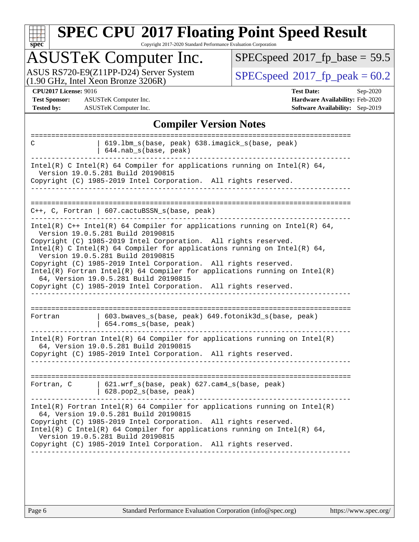| u | н. | е | ۵ |  |
|---|----|---|---|--|

Copyright 2017-2020 Standard Performance Evaluation Corporation

## ASUSTeK Computer Inc.

ASUS RS720-E9(Z11PP-D24) Server System  $(1.90 \text{ GHz}, \text{ Intel Xeon Bronze } 3206\text{R})$   $\big| \text{ SPECspeed}^{\circ}2017 \text{_f}_\text{peak} = 60.2 \big|$  $\big| \text{ SPECspeed}^{\circ}2017 \text{_f}_\text{peak} = 60.2 \big|$  $\big| \text{ SPECspeed}^{\circ}2017 \text{_f}_\text{peak} = 60.2 \big|$ 

 $SPECspeed*2017_fp\_base = 59.5$  $SPECspeed*2017_fp\_base = 59.5$ 

**[Test Sponsor:](http://www.spec.org/auto/cpu2017/Docs/result-fields.html#TestSponsor)** ASUSTeK Computer Inc. **[Hardware Availability:](http://www.spec.org/auto/cpu2017/Docs/result-fields.html#HardwareAvailability)** Feb-2020 **[Tested by:](http://www.spec.org/auto/cpu2017/Docs/result-fields.html#Testedby)** ASUSTeK Computer Inc. **[Software Availability:](http://www.spec.org/auto/cpu2017/Docs/result-fields.html#SoftwareAvailability)** Sep-2019

**[CPU2017 License:](http://www.spec.org/auto/cpu2017/Docs/result-fields.html#CPU2017License)** 9016 **[Test Date:](http://www.spec.org/auto/cpu2017/Docs/result-fields.html#TestDate)** Sep-2020

#### **[Compiler Version Notes](http://www.spec.org/auto/cpu2017/Docs/result-fields.html#CompilerVersionNotes)**

| C          | 619.1bm_s(base, peak) 638.imagick_s(base, peak)<br>$644$ .nab $s$ (base, peak)                                                                                                                                                                                                                                                                                               |
|------------|------------------------------------------------------------------------------------------------------------------------------------------------------------------------------------------------------------------------------------------------------------------------------------------------------------------------------------------------------------------------------|
|            | Intel(R) C Intel(R) 64 Compiler for applications running on Intel(R) 64,<br>Version 19.0.5.281 Build 20190815<br>Copyright (C) 1985-2019 Intel Corporation. All rights reserved.                                                                                                                                                                                             |
|            |                                                                                                                                                                                                                                                                                                                                                                              |
|            | C++, C, Fortran   607.cactuBSSN_s(base, peak)                                                                                                                                                                                                                                                                                                                                |
|            | Intel(R) $C++$ Intel(R) 64 Compiler for applications running on Intel(R) 64,<br>Version 19.0.5.281 Build 20190815<br>Copyright (C) 1985-2019 Intel Corporation. All rights reserved.<br>Intel(R) C Intel(R) 64 Compiler for applications running on Intel(R) 64,<br>Version 19.0.5.281 Build 20190815                                                                        |
|            | Copyright (C) 1985-2019 Intel Corporation. All rights reserved.<br>Intel(R) Fortran Intel(R) 64 Compiler for applications running on $Intel(R)$<br>64, Version 19.0.5.281 Build 20190815<br>Copyright (C) 1985-2019 Intel Corporation. All rights reserved.                                                                                                                  |
|            |                                                                                                                                                                                                                                                                                                                                                                              |
| Fortran    | 603.bwaves_s(base, peak) 649.fotonik3d_s(base, peak)<br>654.roms_s(base, peak)                                                                                                                                                                                                                                                                                               |
|            | $Intel(R)$ Fortran Intel(R) 64 Compiler for applications running on Intel(R)<br>64, Version 19.0.5.281 Build 20190815<br>Copyright (C) 1985-2019 Intel Corporation. All rights reserved.                                                                                                                                                                                     |
|            |                                                                                                                                                                                                                                                                                                                                                                              |
| Fortran, C | 621.wrf_s(base, peak) 627.cam4_s(base, peak)<br>628.pop2_s(base, peak)                                                                                                                                                                                                                                                                                                       |
|            | $Intel(R)$ Fortran Intel(R) 64 Compiler for applications running on Intel(R)<br>64, Version 19.0.5.281 Build 20190815<br>Copyright (C) 1985-2019 Intel Corporation. All rights reserved.<br>Intel(R) C Intel(R) 64 Compiler for applications running on Intel(R) 64,<br>Version 19.0.5.281 Build 20190815<br>Copyright (C) 1985-2019 Intel Corporation. All rights reserved. |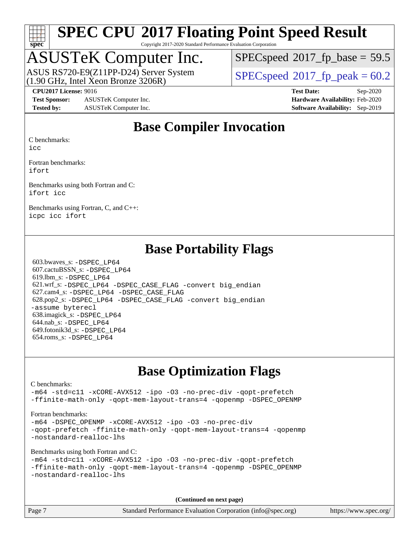

Copyright 2017-2020 Standard Performance Evaluation Corporation

### ASUSTeK Computer Inc.

(1.90 GHz, Intel Xeon Bronze 3206R) ASUS RS720-E9(Z11PP-D24) Server System  $SPECspeed@2017$  $SPECspeed@2017$  fp\_peak = 60.2

 $SPECspeed^{\circledcirc}2017\_fp\_base = 59.5$  $SPECspeed^{\circledcirc}2017\_fp\_base = 59.5$ 

**[Test Sponsor:](http://www.spec.org/auto/cpu2017/Docs/result-fields.html#TestSponsor)** ASUSTeK Computer Inc. **[Hardware Availability:](http://www.spec.org/auto/cpu2017/Docs/result-fields.html#HardwareAvailability)** Feb-2020 **[Tested by:](http://www.spec.org/auto/cpu2017/Docs/result-fields.html#Testedby)** ASUSTeK Computer Inc. **[Software Availability:](http://www.spec.org/auto/cpu2017/Docs/result-fields.html#SoftwareAvailability)** Sep-2019

**[CPU2017 License:](http://www.spec.org/auto/cpu2017/Docs/result-fields.html#CPU2017License)** 9016 **[Test Date:](http://www.spec.org/auto/cpu2017/Docs/result-fields.html#TestDate)** Sep-2020

### **[Base Compiler Invocation](http://www.spec.org/auto/cpu2017/Docs/result-fields.html#BaseCompilerInvocation)**

[C benchmarks:](http://www.spec.org/auto/cpu2017/Docs/result-fields.html#Cbenchmarks)

[icc](http://www.spec.org/cpu2017/results/res2020q4/cpu2017-20200925-24016.flags.html#user_CCbase_intel_icc_66fc1ee009f7361af1fbd72ca7dcefbb700085f36577c54f309893dd4ec40d12360134090235512931783d35fd58c0460139e722d5067c5574d8eaf2b3e37e92)

[Fortran benchmarks](http://www.spec.org/auto/cpu2017/Docs/result-fields.html#Fortranbenchmarks): [ifort](http://www.spec.org/cpu2017/results/res2020q4/cpu2017-20200925-24016.flags.html#user_FCbase_intel_ifort_8111460550e3ca792625aed983ce982f94888b8b503583aa7ba2b8303487b4d8a21a13e7191a45c5fd58ff318f48f9492884d4413fa793fd88dd292cad7027ca)

[Benchmarks using both Fortran and C:](http://www.spec.org/auto/cpu2017/Docs/result-fields.html#BenchmarksusingbothFortranandC) [ifort](http://www.spec.org/cpu2017/results/res2020q4/cpu2017-20200925-24016.flags.html#user_CC_FCbase_intel_ifort_8111460550e3ca792625aed983ce982f94888b8b503583aa7ba2b8303487b4d8a21a13e7191a45c5fd58ff318f48f9492884d4413fa793fd88dd292cad7027ca) [icc](http://www.spec.org/cpu2017/results/res2020q4/cpu2017-20200925-24016.flags.html#user_CC_FCbase_intel_icc_66fc1ee009f7361af1fbd72ca7dcefbb700085f36577c54f309893dd4ec40d12360134090235512931783d35fd58c0460139e722d5067c5574d8eaf2b3e37e92)

[Benchmarks using Fortran, C, and C++:](http://www.spec.org/auto/cpu2017/Docs/result-fields.html#BenchmarksusingFortranCandCXX) [icpc](http://www.spec.org/cpu2017/results/res2020q4/cpu2017-20200925-24016.flags.html#user_CC_CXX_FCbase_intel_icpc_c510b6838c7f56d33e37e94d029a35b4a7bccf4766a728ee175e80a419847e808290a9b78be685c44ab727ea267ec2f070ec5dc83b407c0218cded6866a35d07) [icc](http://www.spec.org/cpu2017/results/res2020q4/cpu2017-20200925-24016.flags.html#user_CC_CXX_FCbase_intel_icc_66fc1ee009f7361af1fbd72ca7dcefbb700085f36577c54f309893dd4ec40d12360134090235512931783d35fd58c0460139e722d5067c5574d8eaf2b3e37e92) [ifort](http://www.spec.org/cpu2017/results/res2020q4/cpu2017-20200925-24016.flags.html#user_CC_CXX_FCbase_intel_ifort_8111460550e3ca792625aed983ce982f94888b8b503583aa7ba2b8303487b4d8a21a13e7191a45c5fd58ff318f48f9492884d4413fa793fd88dd292cad7027ca)

### **[Base Portability Flags](http://www.spec.org/auto/cpu2017/Docs/result-fields.html#BasePortabilityFlags)**

 603.bwaves\_s: [-DSPEC\\_LP64](http://www.spec.org/cpu2017/results/res2020q4/cpu2017-20200925-24016.flags.html#suite_basePORTABILITY603_bwaves_s_DSPEC_LP64) 607.cactuBSSN\_s: [-DSPEC\\_LP64](http://www.spec.org/cpu2017/results/res2020q4/cpu2017-20200925-24016.flags.html#suite_basePORTABILITY607_cactuBSSN_s_DSPEC_LP64) 619.lbm\_s: [-DSPEC\\_LP64](http://www.spec.org/cpu2017/results/res2020q4/cpu2017-20200925-24016.flags.html#suite_basePORTABILITY619_lbm_s_DSPEC_LP64) 621.wrf\_s: [-DSPEC\\_LP64](http://www.spec.org/cpu2017/results/res2020q4/cpu2017-20200925-24016.flags.html#suite_basePORTABILITY621_wrf_s_DSPEC_LP64) [-DSPEC\\_CASE\\_FLAG](http://www.spec.org/cpu2017/results/res2020q4/cpu2017-20200925-24016.flags.html#b621.wrf_s_baseCPORTABILITY_DSPEC_CASE_FLAG) [-convert big\\_endian](http://www.spec.org/cpu2017/results/res2020q4/cpu2017-20200925-24016.flags.html#user_baseFPORTABILITY621_wrf_s_convert_big_endian_c3194028bc08c63ac5d04de18c48ce6d347e4e562e8892b8bdbdc0214820426deb8554edfa529a3fb25a586e65a3d812c835984020483e7e73212c4d31a38223) 627.cam4\_s: [-DSPEC\\_LP64](http://www.spec.org/cpu2017/results/res2020q4/cpu2017-20200925-24016.flags.html#suite_basePORTABILITY627_cam4_s_DSPEC_LP64) [-DSPEC\\_CASE\\_FLAG](http://www.spec.org/cpu2017/results/res2020q4/cpu2017-20200925-24016.flags.html#b627.cam4_s_baseCPORTABILITY_DSPEC_CASE_FLAG) 628.pop2\_s: [-DSPEC\\_LP64](http://www.spec.org/cpu2017/results/res2020q4/cpu2017-20200925-24016.flags.html#suite_basePORTABILITY628_pop2_s_DSPEC_LP64) [-DSPEC\\_CASE\\_FLAG](http://www.spec.org/cpu2017/results/res2020q4/cpu2017-20200925-24016.flags.html#b628.pop2_s_baseCPORTABILITY_DSPEC_CASE_FLAG) [-convert big\\_endian](http://www.spec.org/cpu2017/results/res2020q4/cpu2017-20200925-24016.flags.html#user_baseFPORTABILITY628_pop2_s_convert_big_endian_c3194028bc08c63ac5d04de18c48ce6d347e4e562e8892b8bdbdc0214820426deb8554edfa529a3fb25a586e65a3d812c835984020483e7e73212c4d31a38223) [-assume byterecl](http://www.spec.org/cpu2017/results/res2020q4/cpu2017-20200925-24016.flags.html#user_baseFPORTABILITY628_pop2_s_assume_byterecl_7e47d18b9513cf18525430bbf0f2177aa9bf368bc7a059c09b2c06a34b53bd3447c950d3f8d6c70e3faf3a05c8557d66a5798b567902e8849adc142926523472) 638.imagick\_s: [-DSPEC\\_LP64](http://www.spec.org/cpu2017/results/res2020q4/cpu2017-20200925-24016.flags.html#suite_basePORTABILITY638_imagick_s_DSPEC_LP64) 644.nab\_s: [-DSPEC\\_LP64](http://www.spec.org/cpu2017/results/res2020q4/cpu2017-20200925-24016.flags.html#suite_basePORTABILITY644_nab_s_DSPEC_LP64) 649.fotonik3d\_s: [-DSPEC\\_LP64](http://www.spec.org/cpu2017/results/res2020q4/cpu2017-20200925-24016.flags.html#suite_basePORTABILITY649_fotonik3d_s_DSPEC_LP64) 654.roms\_s: [-DSPEC\\_LP64](http://www.spec.org/cpu2017/results/res2020q4/cpu2017-20200925-24016.flags.html#suite_basePORTABILITY654_roms_s_DSPEC_LP64)

### **[Base Optimization Flags](http://www.spec.org/auto/cpu2017/Docs/result-fields.html#BaseOptimizationFlags)**

[C benchmarks](http://www.spec.org/auto/cpu2017/Docs/result-fields.html#Cbenchmarks):

[-m64](http://www.spec.org/cpu2017/results/res2020q4/cpu2017-20200925-24016.flags.html#user_CCbase_m64-icc) [-std=c11](http://www.spec.org/cpu2017/results/res2020q4/cpu2017-20200925-24016.flags.html#user_CCbase_std-icc-std_0e1c27790398a4642dfca32ffe6c27b5796f9c2d2676156f2e42c9c44eaad0c049b1cdb667a270c34d979996257aeb8fc440bfb01818dbc9357bd9d174cb8524) [-xCORE-AVX512](http://www.spec.org/cpu2017/results/res2020q4/cpu2017-20200925-24016.flags.html#user_CCbase_f-xCORE-AVX512) [-ipo](http://www.spec.org/cpu2017/results/res2020q4/cpu2017-20200925-24016.flags.html#user_CCbase_f-ipo) [-O3](http://www.spec.org/cpu2017/results/res2020q4/cpu2017-20200925-24016.flags.html#user_CCbase_f-O3) [-no-prec-div](http://www.spec.org/cpu2017/results/res2020q4/cpu2017-20200925-24016.flags.html#user_CCbase_f-no-prec-div) [-qopt-prefetch](http://www.spec.org/cpu2017/results/res2020q4/cpu2017-20200925-24016.flags.html#user_CCbase_f-qopt-prefetch) [-ffinite-math-only](http://www.spec.org/cpu2017/results/res2020q4/cpu2017-20200925-24016.flags.html#user_CCbase_f_finite_math_only_cb91587bd2077682c4b38af759c288ed7c732db004271a9512da14a4f8007909a5f1427ecbf1a0fb78ff2a814402c6114ac565ca162485bbcae155b5e4258871) [-qopt-mem-layout-trans=4](http://www.spec.org/cpu2017/results/res2020q4/cpu2017-20200925-24016.flags.html#user_CCbase_f-qopt-mem-layout-trans_fa39e755916c150a61361b7846f310bcdf6f04e385ef281cadf3647acec3f0ae266d1a1d22d972a7087a248fd4e6ca390a3634700869573d231a252c784941a8) [-qopenmp](http://www.spec.org/cpu2017/results/res2020q4/cpu2017-20200925-24016.flags.html#user_CCbase_qopenmp_16be0c44f24f464004c6784a7acb94aca937f053568ce72f94b139a11c7c168634a55f6653758ddd83bcf7b8463e8028bb0b48b77bcddc6b78d5d95bb1df2967) [-DSPEC\\_OPENMP](http://www.spec.org/cpu2017/results/res2020q4/cpu2017-20200925-24016.flags.html#suite_CCbase_DSPEC_OPENMP)

[Fortran benchmarks](http://www.spec.org/auto/cpu2017/Docs/result-fields.html#Fortranbenchmarks):

[-m64](http://www.spec.org/cpu2017/results/res2020q4/cpu2017-20200925-24016.flags.html#user_FCbase_m64-icc) [-DSPEC\\_OPENMP](http://www.spec.org/cpu2017/results/res2020q4/cpu2017-20200925-24016.flags.html#suite_FCbase_DSPEC_OPENMP) [-xCORE-AVX512](http://www.spec.org/cpu2017/results/res2020q4/cpu2017-20200925-24016.flags.html#user_FCbase_f-xCORE-AVX512) [-ipo](http://www.spec.org/cpu2017/results/res2020q4/cpu2017-20200925-24016.flags.html#user_FCbase_f-ipo) [-O3](http://www.spec.org/cpu2017/results/res2020q4/cpu2017-20200925-24016.flags.html#user_FCbase_f-O3) [-no-prec-div](http://www.spec.org/cpu2017/results/res2020q4/cpu2017-20200925-24016.flags.html#user_FCbase_f-no-prec-div) [-qopt-prefetch](http://www.spec.org/cpu2017/results/res2020q4/cpu2017-20200925-24016.flags.html#user_FCbase_f-qopt-prefetch) [-ffinite-math-only](http://www.spec.org/cpu2017/results/res2020q4/cpu2017-20200925-24016.flags.html#user_FCbase_f_finite_math_only_cb91587bd2077682c4b38af759c288ed7c732db004271a9512da14a4f8007909a5f1427ecbf1a0fb78ff2a814402c6114ac565ca162485bbcae155b5e4258871) [-qopt-mem-layout-trans=4](http://www.spec.org/cpu2017/results/res2020q4/cpu2017-20200925-24016.flags.html#user_FCbase_f-qopt-mem-layout-trans_fa39e755916c150a61361b7846f310bcdf6f04e385ef281cadf3647acec3f0ae266d1a1d22d972a7087a248fd4e6ca390a3634700869573d231a252c784941a8) [-qopenmp](http://www.spec.org/cpu2017/results/res2020q4/cpu2017-20200925-24016.flags.html#user_FCbase_qopenmp_16be0c44f24f464004c6784a7acb94aca937f053568ce72f94b139a11c7c168634a55f6653758ddd83bcf7b8463e8028bb0b48b77bcddc6b78d5d95bb1df2967) [-nostandard-realloc-lhs](http://www.spec.org/cpu2017/results/res2020q4/cpu2017-20200925-24016.flags.html#user_FCbase_f_2003_std_realloc_82b4557e90729c0f113870c07e44d33d6f5a304b4f63d4c15d2d0f1fab99f5daaed73bdb9275d9ae411527f28b936061aa8b9c8f2d63842963b95c9dd6426b8a)

[Benchmarks using both Fortran and C](http://www.spec.org/auto/cpu2017/Docs/result-fields.html#BenchmarksusingbothFortranandC):

```
-m64 -std=c11 -xCORE-AVX512 -ipo -O3 -no-prec-div -qopt-prefetch
-ffinite-math-only -qopt-mem-layout-trans=4 -qopenmp -DSPEC_OPENMP
-nostandard-realloc-lhs
```
**(Continued on next page)**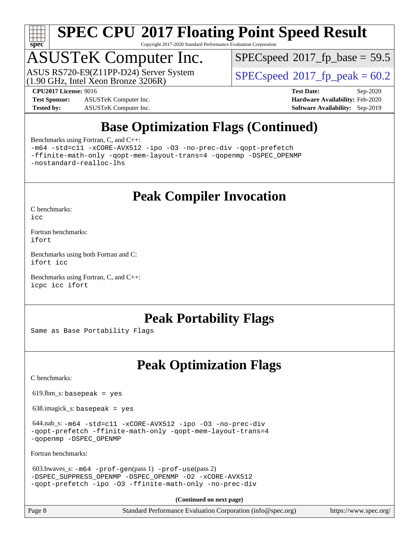

Copyright 2017-2020 Standard Performance Evaluation Corporation

## ASUSTeK Computer Inc.

(1.90 GHz, Intel Xeon Bronze 3206R) ASUS RS720-E9(Z11PP-D24) Server System  $SPECspeed@2017$  $SPECspeed@2017$  fp\_peak = 60.2

 $SPECspeed*2017_fp\_base = 59.5$  $SPECspeed*2017_fp\_base = 59.5$ 

**[Test Sponsor:](http://www.spec.org/auto/cpu2017/Docs/result-fields.html#TestSponsor)** ASUSTeK Computer Inc. **[Hardware Availability:](http://www.spec.org/auto/cpu2017/Docs/result-fields.html#HardwareAvailability)** Feb-2020 **[Tested by:](http://www.spec.org/auto/cpu2017/Docs/result-fields.html#Testedby)** ASUSTeK Computer Inc. **[Software Availability:](http://www.spec.org/auto/cpu2017/Docs/result-fields.html#SoftwareAvailability)** Sep-2019

**[CPU2017 License:](http://www.spec.org/auto/cpu2017/Docs/result-fields.html#CPU2017License)** 9016 **[Test Date:](http://www.spec.org/auto/cpu2017/Docs/result-fields.html#TestDate)** Sep-2020

### **[Base Optimization Flags \(Continued\)](http://www.spec.org/auto/cpu2017/Docs/result-fields.html#BaseOptimizationFlags)**

[Benchmarks using Fortran, C, and C++:](http://www.spec.org/auto/cpu2017/Docs/result-fields.html#BenchmarksusingFortranCandCXX)

[-m64](http://www.spec.org/cpu2017/results/res2020q4/cpu2017-20200925-24016.flags.html#user_CC_CXX_FCbase_m64-icc) [-std=c11](http://www.spec.org/cpu2017/results/res2020q4/cpu2017-20200925-24016.flags.html#user_CC_CXX_FCbase_std-icc-std_0e1c27790398a4642dfca32ffe6c27b5796f9c2d2676156f2e42c9c44eaad0c049b1cdb667a270c34d979996257aeb8fc440bfb01818dbc9357bd9d174cb8524) [-xCORE-AVX512](http://www.spec.org/cpu2017/results/res2020q4/cpu2017-20200925-24016.flags.html#user_CC_CXX_FCbase_f-xCORE-AVX512) [-ipo](http://www.spec.org/cpu2017/results/res2020q4/cpu2017-20200925-24016.flags.html#user_CC_CXX_FCbase_f-ipo) [-O3](http://www.spec.org/cpu2017/results/res2020q4/cpu2017-20200925-24016.flags.html#user_CC_CXX_FCbase_f-O3) [-no-prec-div](http://www.spec.org/cpu2017/results/res2020q4/cpu2017-20200925-24016.flags.html#user_CC_CXX_FCbase_f-no-prec-div) [-qopt-prefetch](http://www.spec.org/cpu2017/results/res2020q4/cpu2017-20200925-24016.flags.html#user_CC_CXX_FCbase_f-qopt-prefetch) [-ffinite-math-only](http://www.spec.org/cpu2017/results/res2020q4/cpu2017-20200925-24016.flags.html#user_CC_CXX_FCbase_f_finite_math_only_cb91587bd2077682c4b38af759c288ed7c732db004271a9512da14a4f8007909a5f1427ecbf1a0fb78ff2a814402c6114ac565ca162485bbcae155b5e4258871) [-qopt-mem-layout-trans=4](http://www.spec.org/cpu2017/results/res2020q4/cpu2017-20200925-24016.flags.html#user_CC_CXX_FCbase_f-qopt-mem-layout-trans_fa39e755916c150a61361b7846f310bcdf6f04e385ef281cadf3647acec3f0ae266d1a1d22d972a7087a248fd4e6ca390a3634700869573d231a252c784941a8) [-qopenmp](http://www.spec.org/cpu2017/results/res2020q4/cpu2017-20200925-24016.flags.html#user_CC_CXX_FCbase_qopenmp_16be0c44f24f464004c6784a7acb94aca937f053568ce72f94b139a11c7c168634a55f6653758ddd83bcf7b8463e8028bb0b48b77bcddc6b78d5d95bb1df2967) [-DSPEC\\_OPENMP](http://www.spec.org/cpu2017/results/res2020q4/cpu2017-20200925-24016.flags.html#suite_CC_CXX_FCbase_DSPEC_OPENMP) [-nostandard-realloc-lhs](http://www.spec.org/cpu2017/results/res2020q4/cpu2017-20200925-24016.flags.html#user_CC_CXX_FCbase_f_2003_std_realloc_82b4557e90729c0f113870c07e44d33d6f5a304b4f63d4c15d2d0f1fab99f5daaed73bdb9275d9ae411527f28b936061aa8b9c8f2d63842963b95c9dd6426b8a)

**[Peak Compiler Invocation](http://www.spec.org/auto/cpu2017/Docs/result-fields.html#PeakCompilerInvocation)**

[C benchmarks](http://www.spec.org/auto/cpu2017/Docs/result-fields.html#Cbenchmarks):

[icc](http://www.spec.org/cpu2017/results/res2020q4/cpu2017-20200925-24016.flags.html#user_CCpeak_intel_icc_66fc1ee009f7361af1fbd72ca7dcefbb700085f36577c54f309893dd4ec40d12360134090235512931783d35fd58c0460139e722d5067c5574d8eaf2b3e37e92)

[Fortran benchmarks](http://www.spec.org/auto/cpu2017/Docs/result-fields.html#Fortranbenchmarks): [ifort](http://www.spec.org/cpu2017/results/res2020q4/cpu2017-20200925-24016.flags.html#user_FCpeak_intel_ifort_8111460550e3ca792625aed983ce982f94888b8b503583aa7ba2b8303487b4d8a21a13e7191a45c5fd58ff318f48f9492884d4413fa793fd88dd292cad7027ca)

[Benchmarks using both Fortran and C](http://www.spec.org/auto/cpu2017/Docs/result-fields.html#BenchmarksusingbothFortranandC): [ifort](http://www.spec.org/cpu2017/results/res2020q4/cpu2017-20200925-24016.flags.html#user_CC_FCpeak_intel_ifort_8111460550e3ca792625aed983ce982f94888b8b503583aa7ba2b8303487b4d8a21a13e7191a45c5fd58ff318f48f9492884d4413fa793fd88dd292cad7027ca) [icc](http://www.spec.org/cpu2017/results/res2020q4/cpu2017-20200925-24016.flags.html#user_CC_FCpeak_intel_icc_66fc1ee009f7361af1fbd72ca7dcefbb700085f36577c54f309893dd4ec40d12360134090235512931783d35fd58c0460139e722d5067c5574d8eaf2b3e37e92)

[Benchmarks using Fortran, C, and C++:](http://www.spec.org/auto/cpu2017/Docs/result-fields.html#BenchmarksusingFortranCandCXX) [icpc](http://www.spec.org/cpu2017/results/res2020q4/cpu2017-20200925-24016.flags.html#user_CC_CXX_FCpeak_intel_icpc_c510b6838c7f56d33e37e94d029a35b4a7bccf4766a728ee175e80a419847e808290a9b78be685c44ab727ea267ec2f070ec5dc83b407c0218cded6866a35d07) [icc](http://www.spec.org/cpu2017/results/res2020q4/cpu2017-20200925-24016.flags.html#user_CC_CXX_FCpeak_intel_icc_66fc1ee009f7361af1fbd72ca7dcefbb700085f36577c54f309893dd4ec40d12360134090235512931783d35fd58c0460139e722d5067c5574d8eaf2b3e37e92) [ifort](http://www.spec.org/cpu2017/results/res2020q4/cpu2017-20200925-24016.flags.html#user_CC_CXX_FCpeak_intel_ifort_8111460550e3ca792625aed983ce982f94888b8b503583aa7ba2b8303487b4d8a21a13e7191a45c5fd58ff318f48f9492884d4413fa793fd88dd292cad7027ca)

### **[Peak Portability Flags](http://www.spec.org/auto/cpu2017/Docs/result-fields.html#PeakPortabilityFlags)**

Same as Base Portability Flags

### **[Peak Optimization Flags](http://www.spec.org/auto/cpu2017/Docs/result-fields.html#PeakOptimizationFlags)**

[C benchmarks](http://www.spec.org/auto/cpu2017/Docs/result-fields.html#Cbenchmarks):

 $619.$ lbm\_s: basepeak = yes

638.imagick\_s: basepeak = yes

 644.nab\_s: [-m64](http://www.spec.org/cpu2017/results/res2020q4/cpu2017-20200925-24016.flags.html#user_peakCCLD644_nab_s_m64-icc) [-std=c11](http://www.spec.org/cpu2017/results/res2020q4/cpu2017-20200925-24016.flags.html#user_peakCCLD644_nab_s_std-icc-std_0e1c27790398a4642dfca32ffe6c27b5796f9c2d2676156f2e42c9c44eaad0c049b1cdb667a270c34d979996257aeb8fc440bfb01818dbc9357bd9d174cb8524) [-xCORE-AVX512](http://www.spec.org/cpu2017/results/res2020q4/cpu2017-20200925-24016.flags.html#user_peakCOPTIMIZE644_nab_s_f-xCORE-AVX512) [-ipo](http://www.spec.org/cpu2017/results/res2020q4/cpu2017-20200925-24016.flags.html#user_peakCOPTIMIZE644_nab_s_f-ipo) [-O3](http://www.spec.org/cpu2017/results/res2020q4/cpu2017-20200925-24016.flags.html#user_peakCOPTIMIZE644_nab_s_f-O3) [-no-prec-div](http://www.spec.org/cpu2017/results/res2020q4/cpu2017-20200925-24016.flags.html#user_peakCOPTIMIZE644_nab_s_f-no-prec-div) [-qopt-prefetch](http://www.spec.org/cpu2017/results/res2020q4/cpu2017-20200925-24016.flags.html#user_peakCOPTIMIZE644_nab_s_f-qopt-prefetch) [-ffinite-math-only](http://www.spec.org/cpu2017/results/res2020q4/cpu2017-20200925-24016.flags.html#user_peakCOPTIMIZE644_nab_s_f_finite_math_only_cb91587bd2077682c4b38af759c288ed7c732db004271a9512da14a4f8007909a5f1427ecbf1a0fb78ff2a814402c6114ac565ca162485bbcae155b5e4258871) [-qopt-mem-layout-trans=4](http://www.spec.org/cpu2017/results/res2020q4/cpu2017-20200925-24016.flags.html#user_peakCOPTIMIZE644_nab_s_f-qopt-mem-layout-trans_fa39e755916c150a61361b7846f310bcdf6f04e385ef281cadf3647acec3f0ae266d1a1d22d972a7087a248fd4e6ca390a3634700869573d231a252c784941a8) [-qopenmp](http://www.spec.org/cpu2017/results/res2020q4/cpu2017-20200925-24016.flags.html#user_peakCOPTIMIZE644_nab_s_qopenmp_16be0c44f24f464004c6784a7acb94aca937f053568ce72f94b139a11c7c168634a55f6653758ddd83bcf7b8463e8028bb0b48b77bcddc6b78d5d95bb1df2967) [-DSPEC\\_OPENMP](http://www.spec.org/cpu2017/results/res2020q4/cpu2017-20200925-24016.flags.html#suite_peakCOPTIMIZE644_nab_s_DSPEC_OPENMP)

[Fortran benchmarks](http://www.spec.org/auto/cpu2017/Docs/result-fields.html#Fortranbenchmarks):

```
 603.bwaves_s: -m64 -prof-gen(pass 1) -prof-use(pass 2)
-DSPEC_SUPPRESS_OPENMP -DSPEC_OPENMP -O2 -xCORE-AVX512
-qopt-prefetch -ipo -O3 -ffinite-math-only -no-prec-div
```
**(Continued on next page)**

Page 8 Standard Performance Evaluation Corporation [\(info@spec.org\)](mailto:info@spec.org) <https://www.spec.org/>